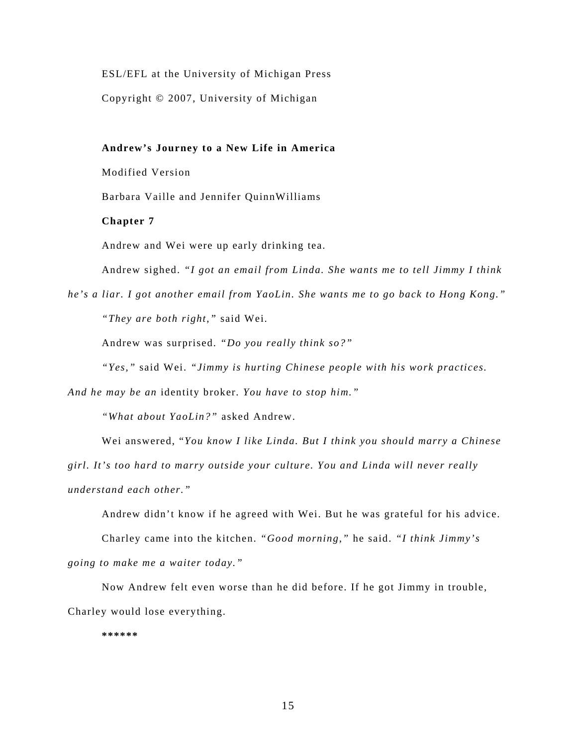ESL/EFL at the University of Michigan Press

Copyright © 2007, University of Michigan

**Andrew's Journey to a New Life in America** 

Modified Version

Barbara Vaille and Jennifer QuinnWilliams

## **Chapter 7**

Andrew and Wei were up early drinking tea.

Andrew sighed. *"I got an email from Linda. She wants me to tell Jimmy I think* 

*he's a liar. I got another email from YaoLin. She wants me to go back to Hong Kong." "They are both right,"* said Wei.

Andrew was surprised. *"Do you really think so?"*

*"Yes,"* said Wei. *"Jimmy is hurting Chinese people with his work practices.* 

*And he may be an* identity broker*. You have to stop him."* 

*"What about YaoLin?"* asked Andrew.

Wei answered, "*You know I like Linda. But I think you should marry a Chinese girl. It's too hard to marry outside your culture. You and Linda will never really understand each other."* 

Andrew didn't know if he agreed with Wei. But he was grateful for his advice.

Charley came into the kitchen. *"Good morning,"* he said. *"I think Jimmy's going to make me a waiter today."* 

Now Andrew felt even worse than he did before. If he got Jimmy in trouble, Charley would lose everything.

**\*\*\*\*\*\***